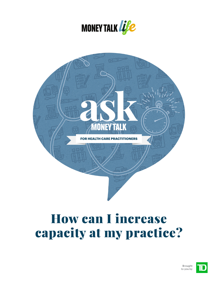



# How can I increase capacity at my practice?

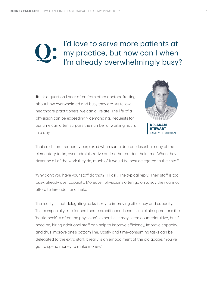## I'd love to serve more patients at my practice, but how can I when I'm already overwhelmingly busy?

**A:** It's a question I hear often from other doctors, fretting about how overwhelmed and busy they are. As fellow healthcare practitioners, we can all relate. The life of a physician can be exceedingly demanding. Requests for our time can often surpass the number of working hours in a day.



**DR. ADAM STEWART** PHYSICIAN

That said, I am frequently perplexed when some doctors describe many of the elementary tasks, even administrative duties, that burden their time. When they describe all of the work they do, much of it would be best delegated to their staff.

"Why don't you have your staff do that?" I'll ask. The typical reply: Their staff is too busy, already over capacity. Moreover, physicians often go on to say they cannot afford to hire additional help.

The reality is that delegating tasks is key to improving efficiency and capacity. This is especially true for healthcare practitioners because in clinic operations the "bottle-neck" is often the physician's expertise. It may seem counterintuitive, but if need be, hiring additional staff can help to improve efficiency, improve capacity, and thus improve one's bottom line. Costly and time-consuming tasks can be delegated to the extra staff. It really is an embodiment of the old adage, "You've got to spend money to make money."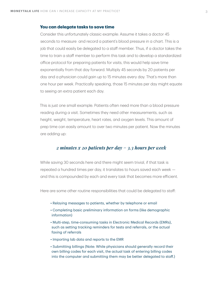#### **You can delegate tasks to save time**

Consider this unfortunately classic example: Assume it takes a doctor 45 seconds to measure and record a patient's blood pressure in a chart. This is a job that could easily be delegated to a staff member. Thus, if a doctor takes the time to train a staff member to perform this task and to develop a standardized office protocol for preparing patients for visits, this would help save time exponentially from that day forward. Multiply 45 seconds by 20 patients per day and a physician could gain up to 15 minutes every day. That's more than one hour per week. Practically speaking, those 15 minutes per day might equate to seeing an extra patient each day.

This is just one small example. Patients often need more than a blood pressure reading during a visit. Sometimes they need other measurements, such as height, weight, temperature, heart rates, and oxygen levels. This amount of prep time can easily amount to over two minutes per patient. Now the minutes are adding up:

### *2 minutes x 20 patients per day = 3.3 hours per week*

While saving 30 seconds here and there might seem trivial, if that task is repeated a hundred times per day, it translates to hours saved each week and this is compounded by each and every task that becomes more efficient.

Here are some other routine responsibilities that could be delegated to staff:

- Relaying messages to patients, whether by telephone or email
- Completing basic preliminary information on forms (like demographic information)
- Multi-step, time-consuming tasks in Electronic Medical Records (EMRs), such as setting tracking reminders for tests and referrals, or the actual faxing of referrals
- Importing lab data and reports to the EMR
- Submitting billings (Note: While physicians should generally record their own billing codes for each visit, the actual task of entering billing codes into the computer and submitting them may be better delegated to staff.)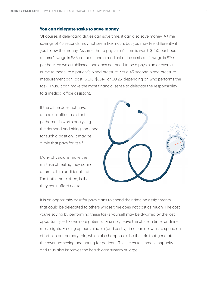#### **You can delegate tasks to save money**

Of course, if delegating duties can save time, it can also save money. A time savings of 45 seconds may not seem like much, but you may feel differently if you follow the money. Assume that a physician's time is worth \$250 per hour, a nurse's wage is \$35 per hour, and a medical office assistant's wage is \$20 per hour. As we established, one does not need to be a physician or even a nurse to measure a patient's blood pressure. Yet a 45-second blood pressure measurement can "cost" \$3.13, \$0.44, or \$0.25, depending on who performs the task. Thus, it can make the most financial sense to delegate the responsibility to a medical office assistant.

If the office does not have a medical office assistant, perhaps it is worth analyzing the demand and hiring someone for such a position. It may be a role that pays for itself.

Many physicians make the mistake of feeling they cannot afford to hire additional staff. The truth, more often, is that they can't afford *not* to.



It is an *opportunity cost* for physicians to spend their time on assignments that could be delegated to others whose time does not cost as much. The cost you're saving by performing these tasks yourself may be dwarfed by the lost opportunity — to see more patients, or simply leave the office in time for dinner most nights. Freeing up our valuable (and costly) time can allow us to spend our efforts on our primary role, which also happens to be the role that generates the revenue: seeing and caring for patients. This helps to increase capacity and thus also improves the health care system at large.